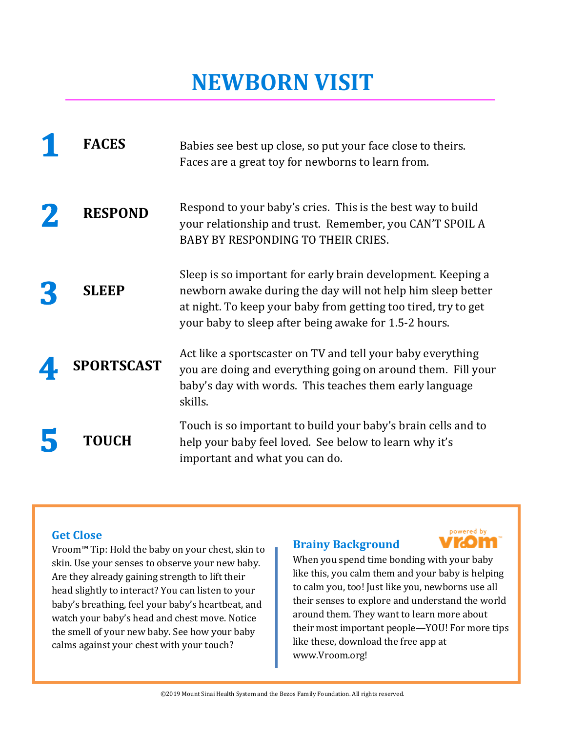### **NEWBORN VISIT**

| <b>FACES</b>      | Babies see best up close, so put your face close to theirs.<br>Faces are a great toy for newborns to learn from.                                                                                                                                       |
|-------------------|--------------------------------------------------------------------------------------------------------------------------------------------------------------------------------------------------------------------------------------------------------|
| <b>RESPOND</b>    | Respond to your baby's cries. This is the best way to build<br>your relationship and trust. Remember, you CAN'T SPOIL A<br><b>BABY BY RESPONDING TO THEIR CRIES.</b>                                                                                   |
| <b>SLEEP</b>      | Sleep is so important for early brain development. Keeping a<br>newborn awake during the day will not help him sleep better<br>at night. To keep your baby from getting too tired, try to get<br>your baby to sleep after being awake for 1.5-2 hours. |
| <b>SPORTSCAST</b> | Act like a sportscaster on TV and tell your baby everything<br>you are doing and everything going on around them. Fill your<br>baby's day with words. This teaches them early language<br>skills.                                                      |
| <b>TOUCH</b>      | Touch is so important to build your baby's brain cells and to<br>help your baby feel loved. See below to learn why it's<br>important and what you can do.                                                                                              |

#### **Get Close**

Vroom™ Tip: Hold the baby on your chest, skin to skin. Use your senses to observe your new baby. Are they already gaining strength to lift their head slightly to interact? You can listen to your baby's breathing, feel your baby's heartbeat, and watch your baby's head and chest move. Notice the smell of your new baby. See how your baby calms against your chest with your touch?

#### **Brainy Background**



When you spend time bonding with your baby like this, you calm them and your baby is helping to calm you, too! Just like you, newborns use all their senses to explore and understand the world around them. They want to learn more about their most important people—YOU! For more tips like these, download the free app at www.Vroom.org!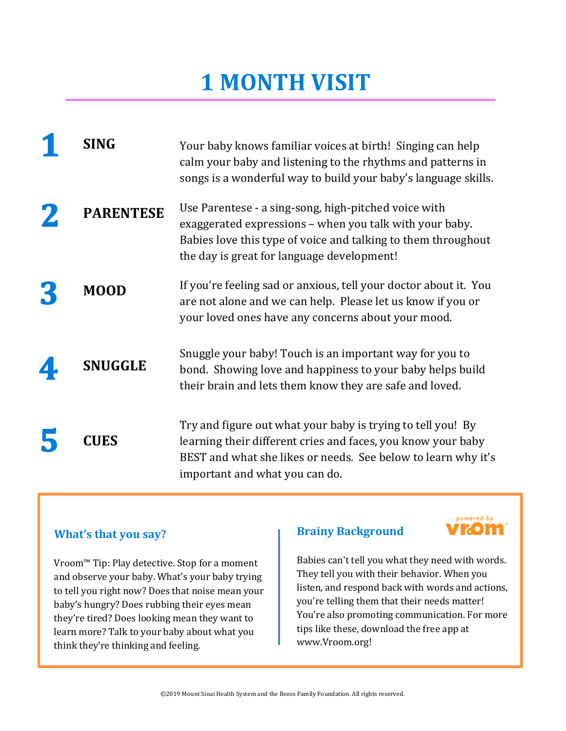| SING             | Your baby knows familiar voices at birth! Singing can help<br>calm your baby and listening to the rhythms and patterns in<br>songs is a wonderful way to build your baby's language skills.                                    |
|------------------|--------------------------------------------------------------------------------------------------------------------------------------------------------------------------------------------------------------------------------|
| <b>PARENTESE</b> | Use Parentese - a sing-song, high-pitched voice with<br>exaggerated expressions – when you talk with your baby.<br>Babies love this type of voice and talking to them throughout<br>the day is great for language development! |
| <b>MOOD</b>      | If you're feeling sad or anxious, tell your doctor about it. You<br>are not alone and we can help. Please let us know if you or<br>your loved ones have any concerns about your mood.                                          |
| <b>SNUGGLE</b>   | Snuggle your baby! Touch is an important way for you to<br>bond. Showing love and happiness to your baby helps build<br>their brain and lets them know they are safe and loved.                                                |
| CUES             | Try and figure out what your baby is trying to tell you! By<br>learning their different cries and faces, you know your baby<br>BEST and what she likes or needs. See below to learn why it's<br>important and what you can do. |

#### **What's that you say?**

Vroom™ Tip: Play detective. Stop for a moment and observe your baby. What's your baby trying to tell you right now? Does that noise mean your baby's hungry? Does rubbing their eyes mean they're tired? Does looking mean they want to learn more? Talk to your baby about what you think they're thinking and feeling.

#### **Brainy Background**



Babies can't tell you what they need with words. They tell you with their behavior. When you listen, and respond back with words and actions, you're telling them that their needs matter! You're also promoting communication. For more tips like these, download the free app at www.Vroom.org!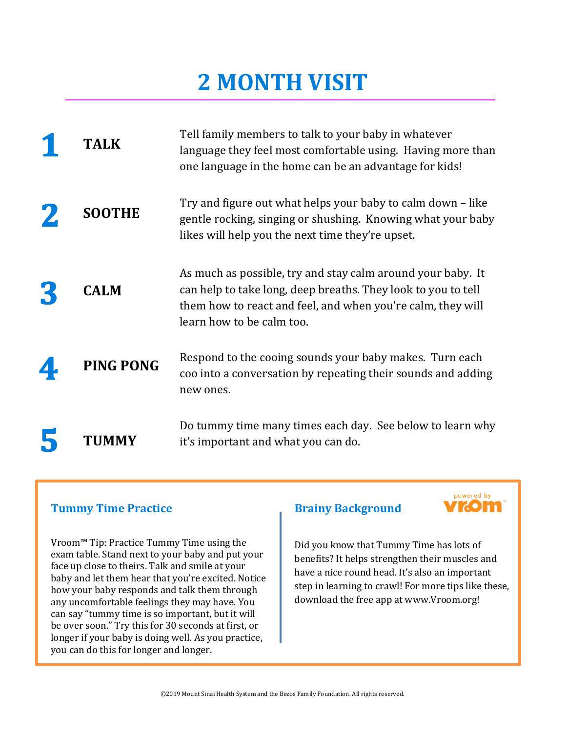| TALK             | Tell family members to talk to your baby in whatever<br>language they feel most comfortable using. Having more than<br>one language in the home can be an advantage for kids!                                            |
|------------------|--------------------------------------------------------------------------------------------------------------------------------------------------------------------------------------------------------------------------|
| <b>SOOTHE</b>    | Try and figure out what helps your baby to calm down - like<br>gentle rocking, singing or shushing. Knowing what your baby<br>likes will help you the next time they're upset.                                           |
| <b>CALM</b>      | As much as possible, try and stay calm around your baby. It<br>can help to take long, deep breaths. They look to you to tell<br>them how to react and feel, and when you're calm, they will<br>learn how to be calm too. |
| <b>PING PONG</b> | Respond to the cooing sounds your baby makes. Turn each<br>coo into a conversation by repeating their sounds and adding<br>new ones.                                                                                     |
| <b>TUMMY</b>     | Do tummy time many times each day. See below to learn why<br>it's important and what you can do.                                                                                                                         |

#### **Tummy Time Practice**

Vroom™ Tip: Practice Tummy Time using the exam table. Stand next to your baby and put your face up close to theirs. Talk and smile at your baby and let them hear that you're excited. Notice how your baby responds and talk them through any uncomfortable feelings they may have. You can say "tummy time is so important, but it will be over soon." Try this for 30 seconds at first, or longer if your baby is doing well. As you practice, you can do this for longer and longer.

#### **Brainy Background**



Did you know that Tummy Time has lots of benefits? It helps strengthen their muscles and have a nice round head. It's also an important step in learning to crawl! For more tips like these, download the free app at www.Vroom.org!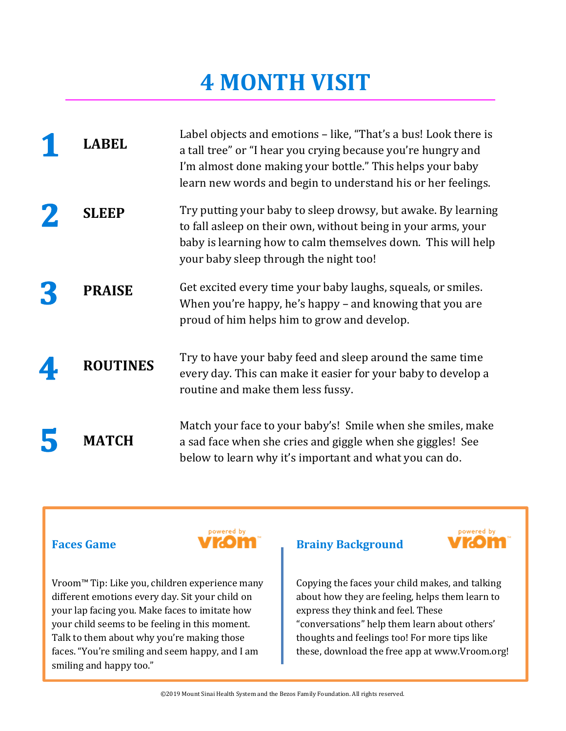| ABEL            | Label objects and emotions – like, "That's a bus! Look there is<br>a tall tree" or "I hear you crying because you're hungry and<br>I'm almost done making your bottle." This helps your baby<br>learn new words and begin to understand his or her feelings. |
|-----------------|--------------------------------------------------------------------------------------------------------------------------------------------------------------------------------------------------------------------------------------------------------------|
| <b>SLEEP</b>    | Try putting your baby to sleep drowsy, but awake. By learning<br>to fall asleep on their own, without being in your arms, your<br>baby is learning how to calm themselves down. This will help<br>your baby sleep through the night too!                     |
| <b>PRAISE</b>   | Get excited every time your baby laughs, squeals, or smiles.<br>When you're happy, he's happy – and knowing that you are<br>proud of him helps him to grow and develop.                                                                                      |
| <b>ROUTINES</b> | Try to have your baby feed and sleep around the same time<br>every day. This can make it easier for your baby to develop a<br>routine and make them less fussy.                                                                                              |
| <b>MATCH</b>    | Match your face to your baby's! Smile when she smiles, make<br>a sad face when she cries and giggle when she giggles! See<br>below to learn why it's important and what you can do.                                                                          |

#### **Faces Game**



Vroom™ Tip: Like you, children experience many different emotions every day. Sit your child on your lap facing you. Make faces to imitate how your child seems to be feeling in this moment. Talk to them about why you're making those faces. "You're smiling and seem happy, and I am smiling and happy too."

### **Brainy Background**



Copying the faces your child makes, and talking about how they are feeling, helps them learn to express they think and feel. These "conversations" help them learn about others' thoughts and feelings too! For more tips like these, download the free app at www.Vroom.org!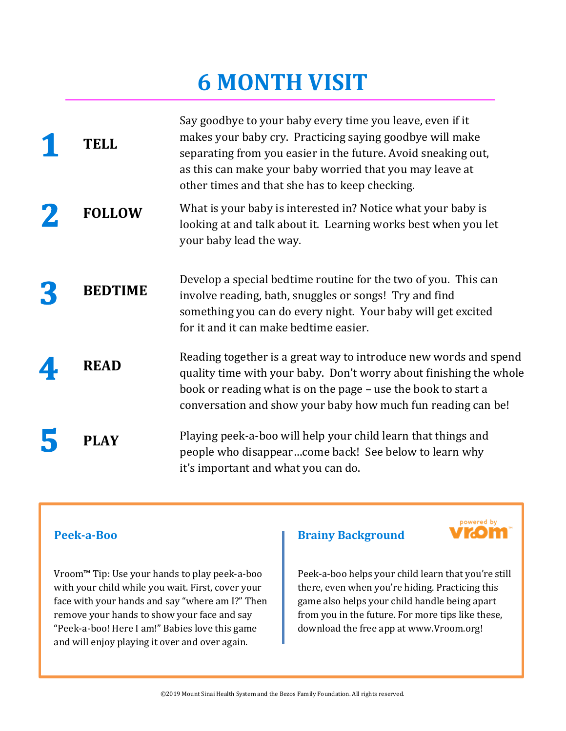| TELL           | Say goodbye to your baby every time you leave, even if it<br>makes your baby cry. Practicing saying goodbye will make<br>separating from you easier in the future. Avoid sneaking out,<br>as this can make your baby worried that you may leave at<br>other times and that she has to keep checking. |
|----------------|------------------------------------------------------------------------------------------------------------------------------------------------------------------------------------------------------------------------------------------------------------------------------------------------------|
| <b>FOLLOW</b>  | What is your baby is interested in? Notice what your baby is<br>looking at and talk about it. Learning works best when you let<br>your baby lead the way.                                                                                                                                            |
| <b>BEDTIME</b> | Develop a special bedtime routine for the two of you. This can<br>involve reading, bath, snuggles or songs! Try and find<br>something you can do every night. Your baby will get excited<br>for it and it can make bedtime easier.                                                                   |
| <b>READ</b>    | Reading together is a great way to introduce new words and spend<br>quality time with your baby. Don't worry about finishing the whole<br>book or reading what is on the page – use the book to start a<br>conversation and show your baby how much fun reading can be!                              |
| <b>PLAY</b>    | Playing peek-a-boo will help your child learn that things and<br>people who disappearcome back! See below to learn why<br>it's important and what you can do.                                                                                                                                        |

#### **Peek-a-Boo**

Vroom™ Tip: Use your hands to play peek-a-boo with your child while you wait. First, cover your face with your hands and say "where am I?" Then remove your hands to show your face and say "Peek-a-boo! Here I am!" Babies love this game and will enjoy playing it over and over again.

#### **Brainy Background**



Peek-a-boo helps your child learn that you're still there, even when you're hiding. Practicing this game also helps your child handle being apart from you in the future. For more tips like these, download the free app at www.Vroom.org!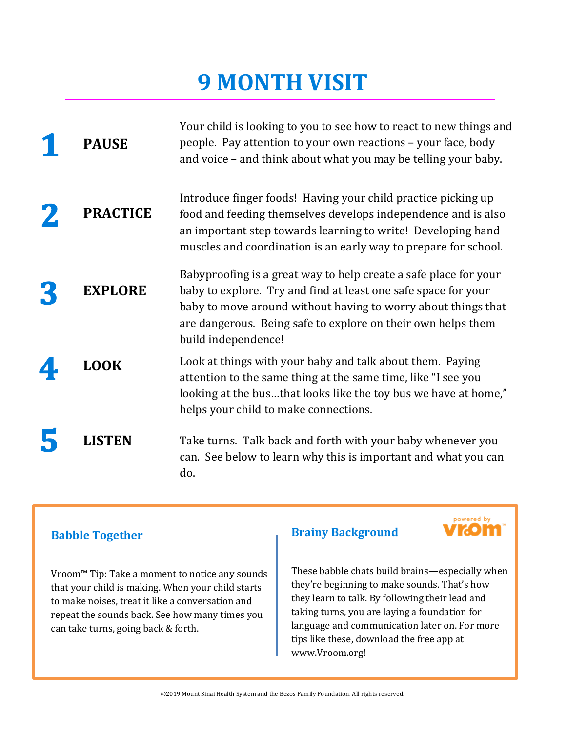| <b>PAUSE</b>    | Your child is looking to you to see how to react to new things and<br>people. Pay attention to your own reactions - your face, body<br>and voice – and think about what you may be telling your baby.                                                                                      |
|-----------------|--------------------------------------------------------------------------------------------------------------------------------------------------------------------------------------------------------------------------------------------------------------------------------------------|
| <b>PRACTICE</b> | Introduce finger foods! Having your child practice picking up<br>food and feeding themselves develops independence and is also<br>an important step towards learning to write! Developing hand<br>muscles and coordination is an early way to prepare for school.                          |
| <b>EXPLORE</b>  | Babyproofing is a great way to help create a safe place for your<br>baby to explore. Try and find at least one safe space for your<br>baby to move around without having to worry about things that<br>are dangerous. Being safe to explore on their own helps them<br>build independence! |
| <b>LOOK</b>     | Look at things with your baby and talk about them. Paying<br>attention to the same thing at the same time, like "I see you<br>looking at the busthat looks like the toy bus we have at home,"<br>helps your child to make connections.                                                     |
| <b>LISTEN</b>   | Take turns. Talk back and forth with your baby whenever you<br>can. See below to learn why this is important and what you can<br>do.                                                                                                                                                       |

#### **Babble Together**

Vroom™ Tip: Take a moment to notice any sounds that your child is making. When your child starts to make noises, treat it like a conversation and repeat the sounds back. See how many times you can take turns, going back & forth.

#### **Brainy Background**



These babble chats build brains—especially when they're beginning to make sounds. That's how they learn to talk. By following their lead and taking turns, you are laying a foundation for language and communication later on. For more tips like these, download the free app at www.Vroom.org!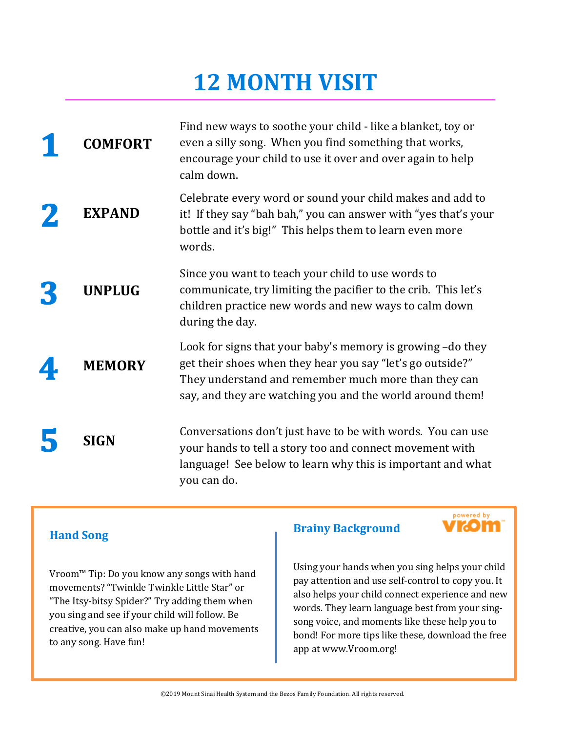| <b>COMFORT</b> | Find new ways to soothe your child - like a blanket, toy or<br>even a silly song. When you find something that works,<br>encourage your child to use it over and over again to help<br>calm down.                                             |
|----------------|-----------------------------------------------------------------------------------------------------------------------------------------------------------------------------------------------------------------------------------------------|
| <b>EXPAND</b>  | Celebrate every word or sound your child makes and add to<br>it! If they say "bah bah," you can answer with "yes that's your<br>bottle and it's big!" This helps them to learn even more<br>words.                                            |
| <b>UNPLUG</b>  | Since you want to teach your child to use words to<br>communicate, try limiting the pacifier to the crib. This let's<br>children practice new words and new ways to calm down<br>during the day.                                              |
| <b>MEMORY</b>  | Look for signs that your baby's memory is growing -do they<br>get their shoes when they hear you say "let's go outside?"<br>They understand and remember much more than they can<br>say, and they are watching you and the world around them! |
| <b>SIGN</b>    | Conversations don't just have to be with words. You can use<br>your hands to tell a story too and connect movement with<br>language! See below to learn why this is important and what<br>you can do.                                         |

### **Hand Song**

Vroom™ Tip: Do you know any songs with hand movements? "Twinkle Twinkle Little Star" or "The Itsy-bitsy Spider?" Try adding them when you sing and see if your child will follow. Be creative, you can also make up hand movements to any song. Have fun!

#### **Brainy Background**



Using your hands when you sing helps your child pay attention and use self-control to copy you. It also helps your child connect experience and new words. They learn language best from your singsong voice, and moments like these help you to bond! For more tips like these, download the free app at www.Vroom.org!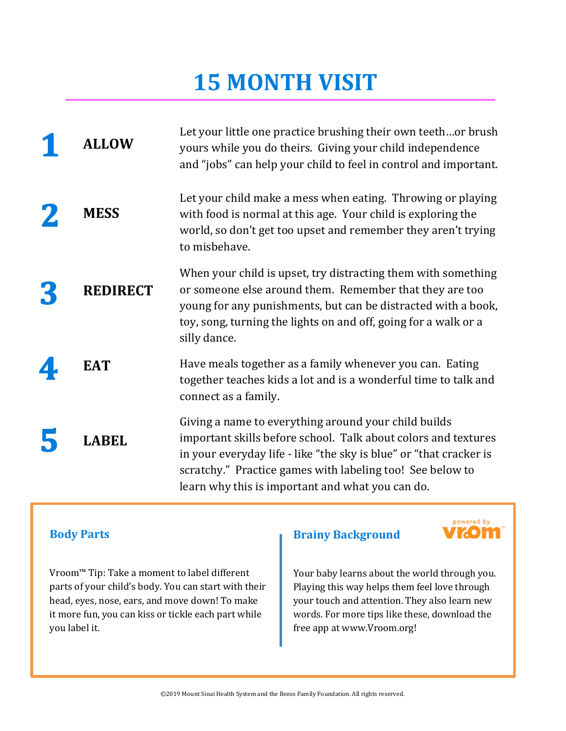| <b>ALLOW</b>    | Let your little one practice brushing their own teethor brush<br>yours while you do theirs. Giving your child independence<br>and "jobs" can help your child to feel in control and important.                                                                                                                |
|-----------------|---------------------------------------------------------------------------------------------------------------------------------------------------------------------------------------------------------------------------------------------------------------------------------------------------------------|
| <b>MESS</b>     | Let your child make a mess when eating. Throwing or playing<br>with food is normal at this age. Your child is exploring the<br>world, so don't get too upset and remember they aren't trying<br>to misbehave.                                                                                                 |
| <b>REDIRECT</b> | When your child is upset, try distracting them with something<br>or someone else around them. Remember that they are too<br>young for any punishments, but can be distracted with a book,<br>toy, song, turning the lights on and off, going for a walk or a<br>silly dance.                                  |
| <b>EAT</b>      | Have meals together as a family whenever you can. Eating<br>together teaches kids a lot and is a wonderful time to talk and<br>connect as a family.                                                                                                                                                           |
| ABEL            | Giving a name to everything around your child builds<br>important skills before school. Talk about colors and textures<br>in your everyday life - like "the sky is blue" or "that cracker is<br>scratchy." Practice games with labeling too! See below to<br>learn why this is important and what you can do. |

#### **Body Parts**

Vroom™ Tip: Take a moment to label different parts of your child's body. You can start with their head, eyes, nose, ears, and move down! To make it more fun, you can kiss or tickle each part while you label it.

#### **Brainy Background**



Your baby learns about the world through you. Playing this way helps them feel love through your touch and attention. They also learn new words. For more tips like these, download the free app at www.Vroom.org!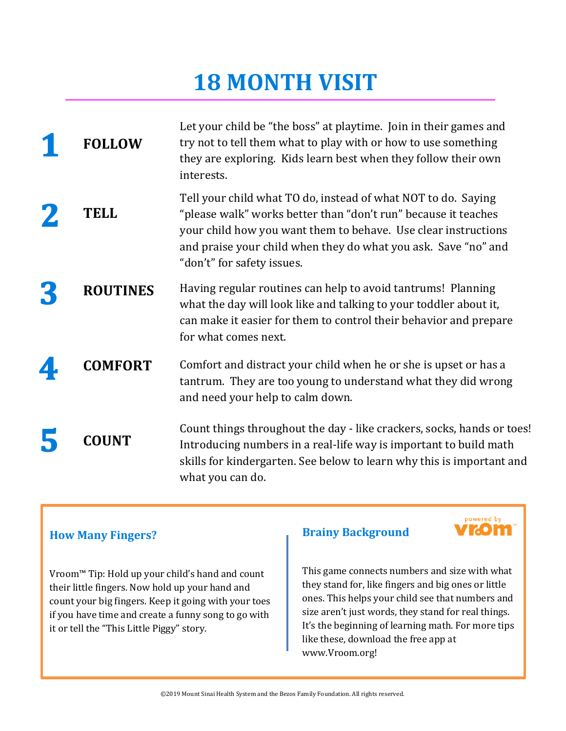| <b>FOLLOW</b>   | Let your child be "the boss" at playtime. Join in their games and<br>try not to tell them what to play with or how to use something<br>they are exploring. Kids learn best when they follow their own<br>interests.                                                                               |
|-----------------|---------------------------------------------------------------------------------------------------------------------------------------------------------------------------------------------------------------------------------------------------------------------------------------------------|
| <b>TELL</b>     | Tell your child what TO do, instead of what NOT to do. Saying<br>"please walk" works better than "don't run" because it teaches<br>your child how you want them to behave. Use clear instructions<br>and praise your child when they do what you ask. Save "no" and<br>"don't" for safety issues. |
| <b>ROUTINES</b> | Having regular routines can help to avoid tantrums! Planning<br>what the day will look like and talking to your toddler about it,<br>can make it easier for them to control their behavior and prepare<br>for what comes next.                                                                    |
| <b>COMFORT</b>  | Comfort and distract your child when he or she is upset or has a<br>tantrum. They are too young to understand what they did wrong<br>and need your help to calm down.                                                                                                                             |
| <b>COUNT</b>    | Count things throughout the day - like crackers, socks, hands or toes!<br>Introducing numbers in a real-life way is important to build math<br>skills for kindergarten. See below to learn why this is important and<br>what you can do.                                                          |

### **How Many Fingers?**

Vroom™ Tip: Hold up your child's hand and count their little fingers. Now hold up your hand and count your big fingers. Keep it going with your toes if you have time and create a funny song to go with it or tell the "This Little Piggy" story.

#### **Brainy Background**



This game connects numbers and size with what they stand for, like fingers and big ones or little ones. This helps your child see that numbers and size aren't just words, they stand for real things. It's the beginning of learning math. For more tips like these, download the free app at www.Vroom.org!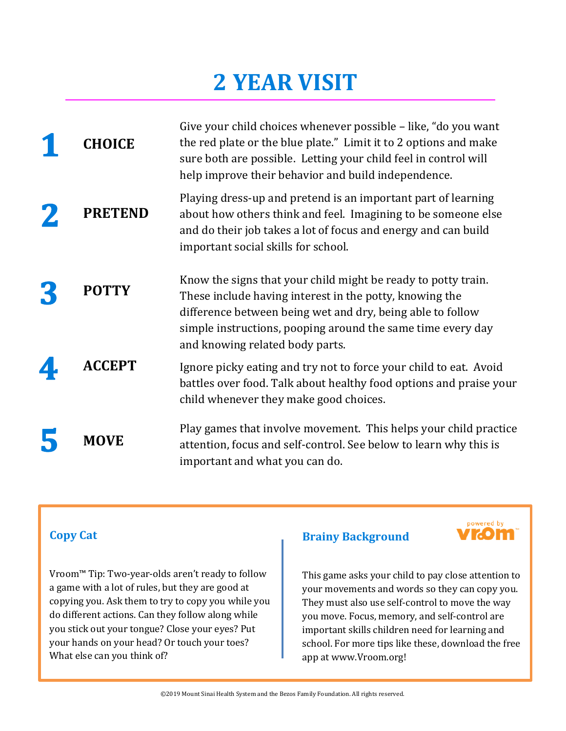| <b>CHOICE</b>  | Give your child choices whenever possible - like, "do you want<br>the red plate or the blue plate." Limit it to 2 options and make<br>sure both are possible. Letting your child feel in control will<br>help improve their behavior and build independence.                             |
|----------------|------------------------------------------------------------------------------------------------------------------------------------------------------------------------------------------------------------------------------------------------------------------------------------------|
| <b>PRETEND</b> | Playing dress-up and pretend is an important part of learning<br>about how others think and feel. Imagining to be someone else<br>and do their job takes a lot of focus and energy and can build<br>important social skills for school.                                                  |
| <b>POTTY</b>   | Know the signs that your child might be ready to potty train.<br>These include having interest in the potty, knowing the<br>difference between being wet and dry, being able to follow<br>simple instructions, pooping around the same time every day<br>and knowing related body parts. |
| <b>ACCEPT</b>  | Ignore picky eating and try not to force your child to eat. Avoid<br>battles over food. Talk about healthy food options and praise your<br>child whenever they make good choices.                                                                                                        |
| MOVE           | Play games that involve movement. This helps your child practice<br>attention, focus and self-control. See below to learn why this is<br>important and what you can do.                                                                                                                  |

### **Copy Cat**

Vroom™ Tip: Two-year-olds aren't ready to follow a game with a lot of rules, but they are good at copying you. Ask them to try to copy you while you do different actions. Can they follow along while you stick out your tongue? Close your eyes? Put your hands on your head? Or touch your toes? What else can you think of?

#### **Brainy Background**



This game asks your child to pay close attention to your movements and words so they can copy you. They must also use self-control to move the way you move. Focus, memory, and self-control are important skills children need for learning and school. For more tips like these, download the free app at www.Vroom.org!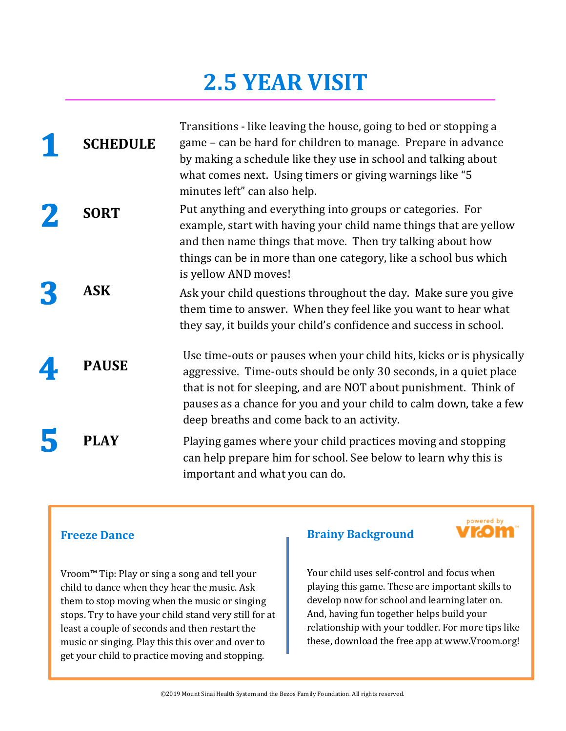### **2.5 YEAR VISIT**

| <b>SCHEDULE</b> | Transitions - like leaving the house, going to bed or stopping a<br>game – can be hard for children to manage. Prepare in advance<br>by making a schedule like they use in school and talking about<br>what comes next. Using timers or giving warnings like "5<br>minutes left" can also help.                                   |
|-----------------|-----------------------------------------------------------------------------------------------------------------------------------------------------------------------------------------------------------------------------------------------------------------------------------------------------------------------------------|
| <b>SORT</b>     | Put anything and everything into groups or categories. For<br>example, start with having your child name things that are yellow<br>and then name things that move. Then try talking about how<br>things can be in more than one category, like a school bus which<br>is yellow AND moves!                                         |
| <b>ASK</b>      | Ask your child questions throughout the day. Make sure you give<br>them time to answer. When they feel like you want to hear what<br>they say, it builds your child's confidence and success in school.                                                                                                                           |
| <b>PAUSE</b>    | Use time-outs or pauses when your child hits, kicks or is physically<br>aggressive. Time-outs should be only 30 seconds, in a quiet place<br>that is not for sleeping, and are NOT about punishment. Think of<br>pauses as a chance for you and your child to calm down, take a few<br>deep breaths and come back to an activity. |
| PLAY            | Playing games where your child practices moving and stopping<br>can help prepare him for school. See below to learn why this is<br>important and what you can do.                                                                                                                                                                 |

#### **Freeze Dance**

Vroom™ Tip: Play or sing a song and tell your child to dance when they hear the music. Ask them to stop moving when the music or singing stops. Try to have your child stand very still for at least a couple of seconds and then restart the music or singing. Play this this over and over to get your child to practice moving and stopping.

#### **Brainy Background**



Your child uses self-control and focus when playing this game. These are important skills to develop now for school and learning later on. And, having fun together helps build your relationship with your toddler. For more tips like these, download the free app at www.Vroom.org!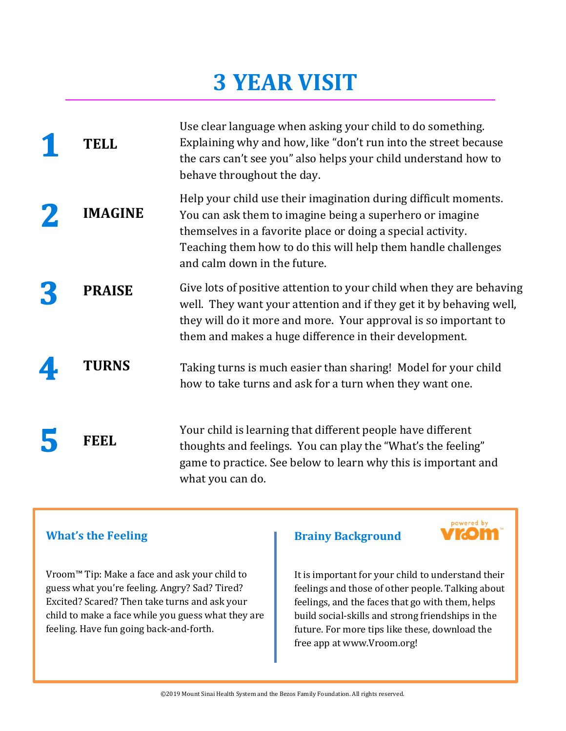| TELL           | Use clear language when asking your child to do something.<br>Explaining why and how, like "don't run into the street because<br>the cars can't see you" also helps your child understand how to<br>behave throughout the day.                                                              |
|----------------|---------------------------------------------------------------------------------------------------------------------------------------------------------------------------------------------------------------------------------------------------------------------------------------------|
| <b>IMAGINE</b> | Help your child use their imagination during difficult moments.<br>You can ask them to imagine being a superhero or imagine<br>themselves in a favorite place or doing a special activity.<br>Teaching them how to do this will help them handle challenges<br>and calm down in the future. |
| <b>PRAISE</b>  | Give lots of positive attention to your child when they are behaving<br>well. They want your attention and if they get it by behaving well,<br>they will do it more and more. Your approval is so important to<br>them and makes a huge difference in their development.                    |
| <b>TURNS</b>   | Taking turns is much easier than sharing! Model for your child<br>how to take turns and ask for a turn when they want one.                                                                                                                                                                  |
| FEEL           | Your child is learning that different people have different<br>thoughts and feelings. You can play the "What's the feeling"<br>game to practice. See below to learn why this is important and<br>what you can do.                                                                           |

#### **What's the Feeling**

Vroom™ Tip: Make a face and ask your child to guess what you're feeling. Angry? Sad? Tired? Excited? Scared? Then take turns and ask your child to make a face while you guess what they are feeling. Have fun going back-and-forth.

#### **Brainy Background**



It is important for your child to understand their feelings and those of other people. Talking about feelings, and the faces that go with them, helps build social-skills and strong friendships in the future. For more tips like these, download the free app at www.Vroom.org!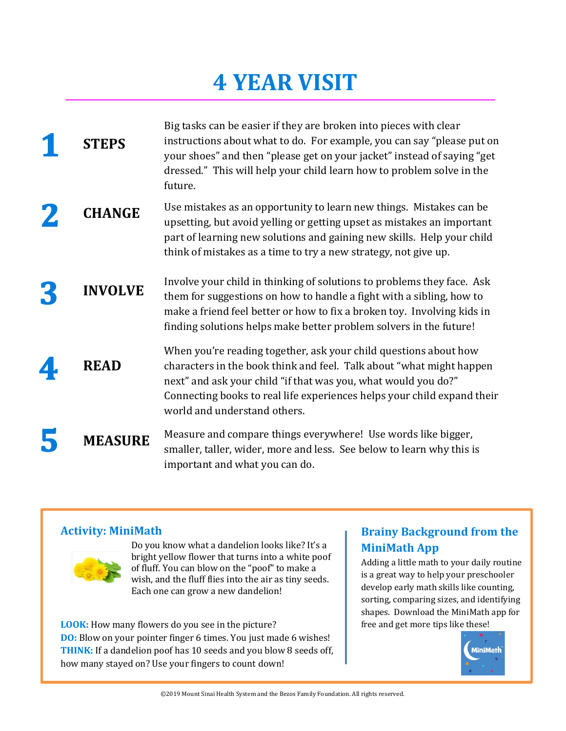| <b>STEPS</b>   | Big tasks can be easier if they are broken into pieces with clear<br>instructions about what to do. For example, you can say "please put on<br>your shoes" and then "please get on your jacket" instead of saying "get<br>dressed." This will help your child learn how to problem solve in the<br>future.            |
|----------------|-----------------------------------------------------------------------------------------------------------------------------------------------------------------------------------------------------------------------------------------------------------------------------------------------------------------------|
| <b>CHANGE</b>  | Use mistakes as an opportunity to learn new things. Mistakes can be<br>upsetting, but avoid yelling or getting upset as mistakes an important<br>part of learning new solutions and gaining new skills. Help your child<br>think of mistakes as a time to try a new strategy, not give up.                            |
| <b>INVOLVE</b> | Involve your child in thinking of solutions to problems they face. Ask<br>them for suggestions on how to handle a fight with a sibling, how to<br>make a friend feel better or how to fix a broken toy. Involving kids in<br>finding solutions helps make better problem solvers in the future!                       |
| <b>READ</b>    | When you're reading together, ask your child questions about how<br>characters in the book think and feel. Talk about "what might happen<br>next" and ask your child "if that was you, what would you do?"<br>Connecting books to real life experiences helps your child expand their<br>world and understand others. |
| <b>MEASURE</b> | Measure and compare things everywhere! Use words like bigger,<br>smaller, taller, wider, more and less. See below to learn why this is<br>important and what you can do.                                                                                                                                              |

#### **Activity: MiniMath**



Do you know what a dandelion looks like? It's a bright yellow flower that turns into a white poof of fluff. You can blow on the "poof" to make a wish, and the fluff flies into the air as tiny seeds. Each one can grow a new dandelion!

**LOOK:** How many flowers do you see in the picture? **DO:** Blow on your pointer finger 6 times. You just made 6 wishes! **THINK:** If a dandelion poof has 10 seeds and you blow 8 seeds off, how many stayed on? Use your fingers to count down!

### **Brainy Background from the MiniMath App**

Adding a little math to your daily routine is a great way to help your preschooler develop early math skills like counting, sorting, comparing sizes, and identifying shapes. Download the MiniMath app for free and get more tips like these!

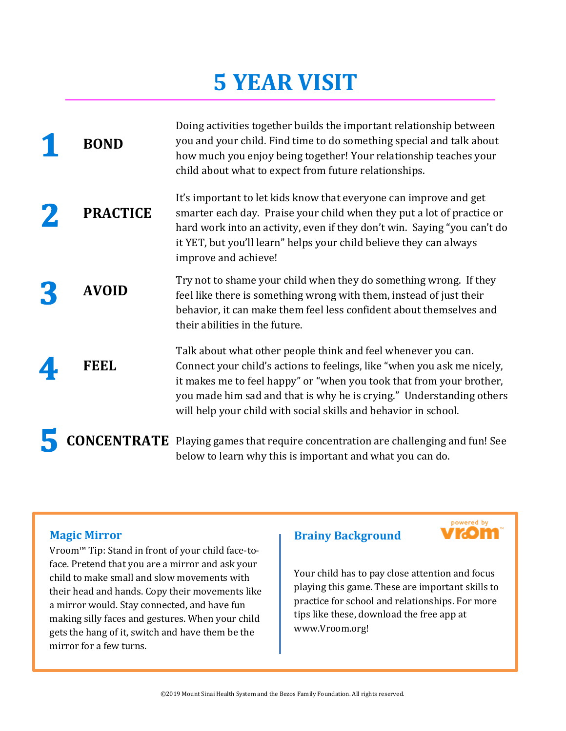| <b>BOND</b>     | Doing activities together builds the important relationship between<br>you and your child. Find time to do something special and talk about<br>how much you enjoy being together! Your relationship teaches your<br>child about what to expect from future relationships.                                                                                   |
|-----------------|-------------------------------------------------------------------------------------------------------------------------------------------------------------------------------------------------------------------------------------------------------------------------------------------------------------------------------------------------------------|
| <b>PRACTICE</b> | It's important to let kids know that everyone can improve and get<br>smarter each day. Praise your child when they put a lot of practice or<br>hard work into an activity, even if they don't win. Saying "you can't do<br>it YET, but you'll learn" helps your child believe they can always<br>improve and achieve!                                       |
| <b>AVOID</b>    | Try not to shame your child when they do something wrong. If they<br>feel like there is something wrong with them, instead of just their<br>behavior, it can make them feel less confident about themselves and<br>their abilities in the future.                                                                                                           |
| FEEL            | Talk about what other people think and feel whenever you can.<br>Connect your child's actions to feelings, like "when you ask me nicely,<br>it makes me to feel happy" or "when you took that from your brother,<br>you made him sad and that is why he is crying." Understanding others<br>will help your child with social skills and behavior in school. |
|                 | <b>CONCENTRATE</b> Playing games that require concentration are challenging and fun! See<br>below to learn why this is important and what you can do.                                                                                                                                                                                                       |

#### **Magic Mirror**

Vroom™ Tip: Stand in front of your child face-toface. Pretend that you are a mirror and ask your child to make small and slow movements with their head and hands. Copy their movements like a mirror would. Stay connected, and have fun making silly faces and gestures. When your child gets the hang of it, switch and have them be the mirror for a few turns.

#### **Brainy Background**



Your child has to pay close attention and focus playing this game. These are important skills to practice for school and relationships. For more tips like these, download the free app at www.Vroom.org!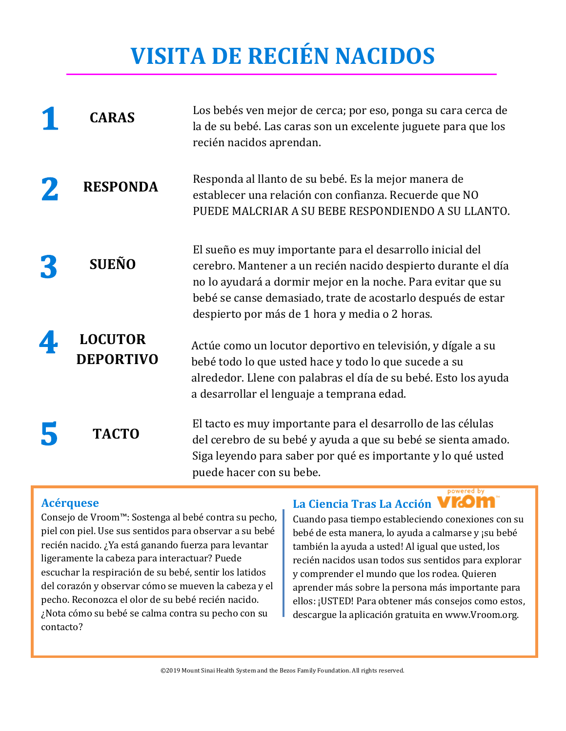# **VISITA DE RECIÉN NACIDOS**

| <b>CARAS</b>                       | Los bebés ven mejor de cerca; por eso, ponga su cara cerca de<br>la de su bebé. Las caras son un excelente juguete para que los<br>recién nacidos aprendan.                                                                                                                                                  |
|------------------------------------|--------------------------------------------------------------------------------------------------------------------------------------------------------------------------------------------------------------------------------------------------------------------------------------------------------------|
| <b>RESPONDA</b>                    | Responda al llanto de su bebé. Es la mejor manera de<br>establecer una relación con confianza. Recuerde que NO<br>PUEDE MALCRIAR A SU BEBE RESPONDIENDO A SU LLANTO.                                                                                                                                         |
| <b>SUEÑO</b>                       | El sueño es muy importante para el desarrollo inicial del<br>cerebro. Mantener a un recién nacido despierto durante el día<br>no lo ayudará a dormir mejor en la noche. Para evitar que su<br>bebé se canse demasiado, trate de acostarlo después de estar<br>despierto por más de 1 hora y media o 2 horas. |
| <b>LOCUTOR</b><br><b>DEPORTIVO</b> | Actúe como un locutor deportivo en televisión, y dígale a su<br>bebé todo lo que usted hace y todo lo que sucede a su<br>alrededor. Llene con palabras el día de su bebé. Esto los ayuda<br>a desarrollar el lenguaje a temprana edad.                                                                       |
| <b>TACTO</b>                       | El tacto es muy importante para el desarrollo de las células<br>del cerebro de su bebé y ayuda a que su bebé se sienta amado.<br>Siga leyendo para saber por qué es importante y lo qué usted<br>puede hacer con su bebe.<br>powered by                                                                      |

#### **Acérquese**

Consejo de Vroom™: Sostenga al bebé contra su pecho, piel con piel. Use sus sentidos para observar a su bebé recién nacido. ¿Ya está ganando fuerza para levantar ligeramente la cabeza para interactuar? Puede escuchar la respiración de su bebé, sentir los latidos del corazón y observar cómo se mueven la cabeza y el pecho. Reconozca el olor de su bebé recién nacido. ¿Nota cómo su bebé se calma contra su pecho con su contacto?

### **La Ciencia Tras La Acción**

Cuando pasa tiempo estableciendo conexiones con su bebé de esta manera, lo ayuda a calmarse y ¡su bebé también la ayuda a usted! Al igual que usted, los recién nacidos usan todos sus sentidos para explorar y comprender el mundo que los rodea. Quieren aprender más sobre la persona más importante para ellos: ¡USTED! Para obtener más consejos como estos, descargue la aplicación gratuita en www.Vroom.org.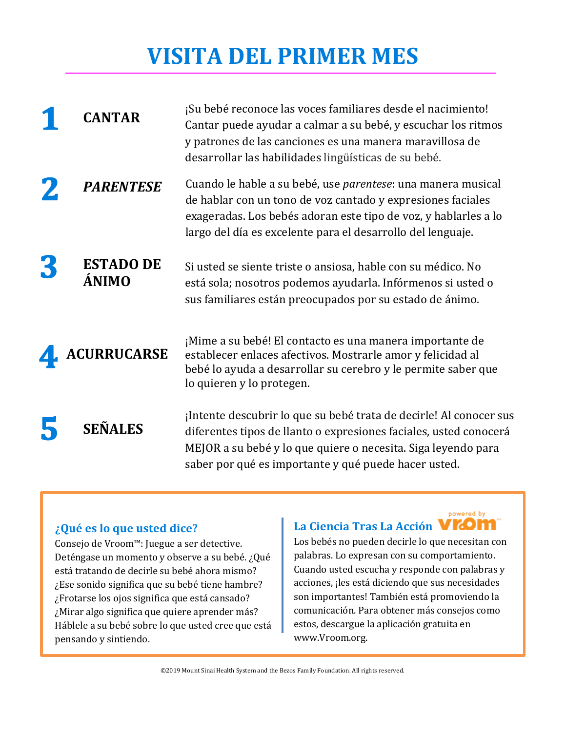### **VISITA DEL PRIMER MES**

| <b>CANTAR</b>             | ¡Su bebé reconoce las voces familiares desde el nacimiento!<br>Cantar puede ayudar a calmar a su bebé, y escuchar los ritmos<br>y patrones de las canciones es una manera maravillosa de<br>desarrollar las habilidades lingüísticas de su bebé.                      |
|---------------------------|-----------------------------------------------------------------------------------------------------------------------------------------------------------------------------------------------------------------------------------------------------------------------|
| <b>PARENTESE</b>          | Cuando le hable a su bebé, use <i>parentese</i> : una manera musical<br>de hablar con un tono de voz cantado y expresiones faciales<br>exageradas. Los bebés adoran este tipo de voz, y hablarles a lo<br>largo del día es excelente para el desarrollo del lenguaje. |
| <b>ESTADO DE</b><br>ÁNIMO | Si usted se siente triste o ansiosa, hable con su médico. No<br>está sola; nosotros podemos ayudarla. Infórmenos si usted o<br>sus familiares están preocupados por su estado de ánimo.                                                                               |
| <b>ACURRUCARSE</b>        | ¡Mime a su bebé! El contacto es una manera importante de<br>establecer enlaces afectivos. Mostrarle amor y felicidad al<br>bebé lo ayuda a desarrollar su cerebro y le permite saber que<br>lo quieren y lo protegen.                                                 |
| <b>SEÑALES</b>            | ¡Intente descubrir lo que su bebé trata de decirle! Al conocer sus<br>diferentes tipos de llanto o expresiones faciales, usted conocerá<br>MEJOR a su bebé y lo que quiere o necesita. Siga leyendo para<br>saber por qué es importante y qué puede hacer usted.      |

#### **¿Qué es lo que usted dice?**

Consejo de Vroom™: Juegue a ser detective. Deténgase un momento y observe a su bebé. ¿Qué está tratando de decirle su bebé ahora mismo? ¿Ese sonido significa que su bebé tiene hambre? ¿Frotarse los ojos significa que está cansado? ¿Mirar algo significa que quiere aprender más? Háblele a su bebé sobre lo que usted cree que está pensando y sintiendo.

#### **La Ciencia Tras La Acción**

powered by

Los bebés no pueden decirle lo que necesitan con palabras. Lo expresan con su comportamiento. Cuando usted escucha y responde con palabras y acciones, ¡les está diciendo que sus necesidades son importantes! También está promoviendo la comunicación. Para obtener más consejos como estos, descargue la aplicación gratuita en www.Vroom.org.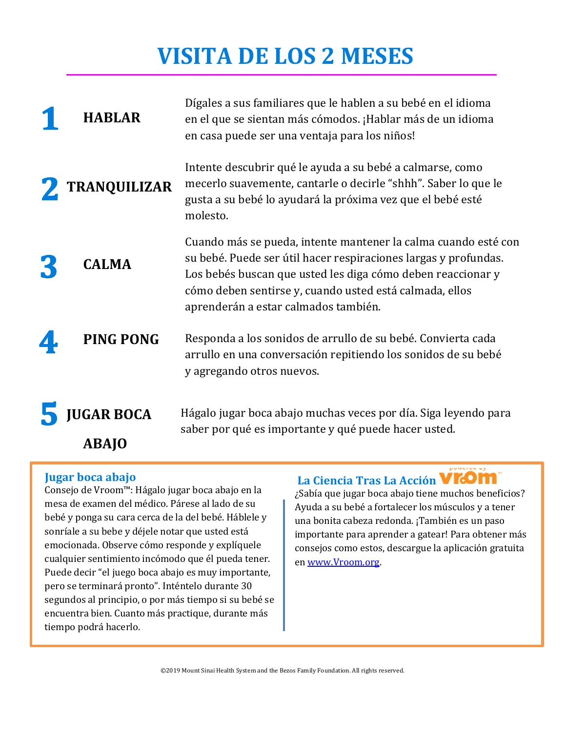### **VISITA DE LOS 2 MESES**

| <b>HABLAR</b>                     | Dígales a sus familiares que le hablen a su bebé en el idioma<br>en el que se sientan más cómodos. ¡Hablar más de un idioma<br>en casa puede ser una ventaja para los niños!                                                                                                                        |
|-----------------------------------|-----------------------------------------------------------------------------------------------------------------------------------------------------------------------------------------------------------------------------------------------------------------------------------------------------|
| TRANQUILIZAR                      | Intente descubrir qué le ayuda a su bebé a calmarse, como<br>mecerlo suavemente, cantarle o decirle "shhh". Saber lo que le<br>gusta a su bebé lo ayudará la próxima vez que el bebé esté<br>molesto.                                                                                               |
| <b>CALMA</b>                      | Cuando más se pueda, intente mantener la calma cuando esté con<br>su bebé. Puede ser útil hacer respiraciones largas y profundas.<br>Los bebés buscan que usted les diga cómo deben reaccionar y<br>cómo deben sentirse y, cuando usted está calmada, ellos<br>aprenderán a estar calmados también. |
| <b>PING PONG</b>                  | Responda a los sonidos de arrullo de su bebé. Convierta cada<br>arrullo en una conversación repitiendo los sonidos de su bebé<br>y agregando otros nuevos.                                                                                                                                          |
| <b>JUGAR BOCA</b><br><b>ABAJO</b> | Hágalo jugar boca abajo muchas veces por día. Siga leyendo para<br>saber por qué es importante y qué puede hacer usted.                                                                                                                                                                             |

#### **Jugar boca abajo**

Consejo de Vroom™: Hágalo jugar boca abajo en la mesa de examen del médico. Párese al lado de su bebé y ponga su cara cerca de la del bebé. Háblele y sonríale a su bebe y déjele notar que usted está emocionada. Observe cómo responde y explíquele cualquier sentimiento incómodo que él pueda tener. Puede decir "el juego boca abajo es muy importante, pero se terminará pronto". Inténtelo durante 30 segundos al principio, o por más tiempo si su bebé se encuentra bien. Cuanto más practique, durante más tiempo podrá hacerlo.

### **La Ciencia Tras La Acción**

¿Sabía que jugar boca abajo tiene muchos beneficios? Ayuda a su bebé a fortalecer los músculos y a tener una bonita cabeza redonda. ¡También es un paso importante para aprender a gatear! Para obtener más consejos como estos, descargue la aplicación gratuita en [www.Vroom.org.](http://www.vroom.org/)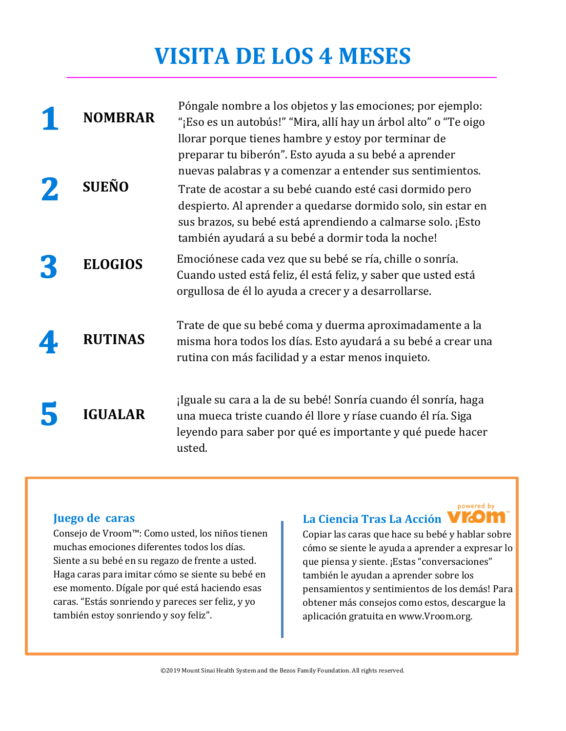### **VISITA DE LOS 4 MESES**

| <b>NOMBRAR</b> | Póngale nombre a los objetos y las emociones; por ejemplo:<br>"¡Eso es un autobús!" "Mira, allí hay un árbol alto" o "Te oigo<br>llorar porque tienes hambre y estoy por terminar de                                                                                                                                                                               |
|----------------|--------------------------------------------------------------------------------------------------------------------------------------------------------------------------------------------------------------------------------------------------------------------------------------------------------------------------------------------------------------------|
| <b>SUEÑO</b>   | preparar tu biberón". Esto ayuda a su bebé a aprender<br>nuevas palabras y a comenzar a entender sus sentimientos.<br>Trate de acostar a su bebé cuando esté casi dormido pero<br>despierto. Al aprender a quedarse dormido solo, sin estar en<br>sus brazos, su bebé está aprendiendo a calmarse solo. ¡Esto<br>también ayudará a su bebé a dormir toda la noche! |
| <b>ELOGIOS</b> | Emociónese cada vez que su bebé se ría, chille o sonría.<br>Cuando usted está feliz, él está feliz, y saber que usted está<br>orgullosa de él lo ayuda a crecer y a desarrollarse.                                                                                                                                                                                 |
| <b>RUTINAS</b> | Trate de que su bebé coma y duerma aproximadamente a la<br>misma hora todos los días. Esto ayudará a su bebé a crear una<br>rutina con más facilidad y a estar menos inquieto.                                                                                                                                                                                     |
| <b>IGUALAR</b> | ¡Iguale su cara a la de su bebé! Sonría cuando él sonría, haga<br>una mueca triste cuando él llore y ríase cuando él ría. Siga<br>leyendo para saber por qué es importante y qué puede hacer<br>usted.                                                                                                                                                             |

#### **Juego de caras**

Consejo de Vroom™: Como usted, los niños tienen muchas emociones diferentes todos los días. Siente a su bebé en su regazo de frente a usted. Haga caras para imitar cómo se siente su bebé en ese momento. Dígale por qué está haciendo esas caras. "Estás sonriendo y pareces ser feliz, y yo también estoy sonriendo y soy feliz".

### **La Ciencia Tras La Acción**

powered by

Copiar las caras que hace su bebé y hablar sobre cómo se siente le ayuda a aprender a expresar lo que piensa y siente. ¡Estas "conversaciones" también le ayudan a aprender sobre los pensamientos y sentimientos de los demás! Para obtener más consejos como estos, descargue la aplicación gratuita en www.Vroom.org.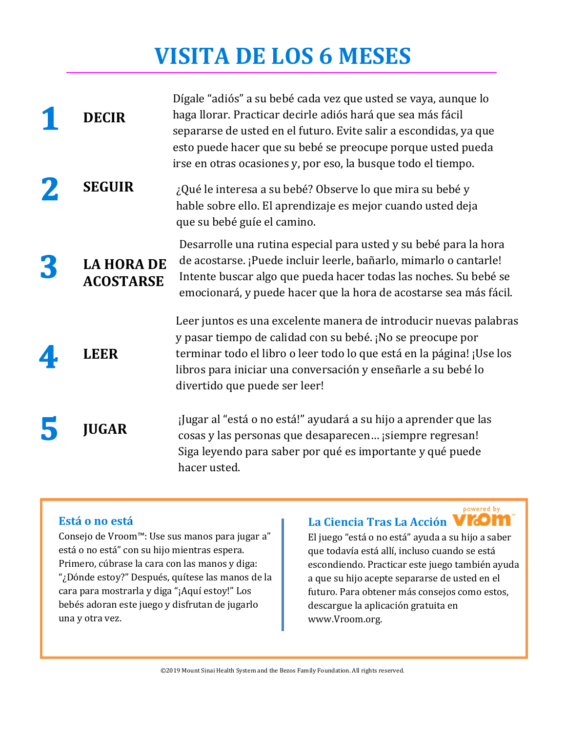### **VISITA DE LOS 6 MESES**

| <b>DECIR</b>                          | Dígale "adiós" a su bebé cada vez que usted se vaya, aunque lo<br>haga llorar. Practicar decirle adiós hará que sea más fácil<br>separarse de usted en el futuro. Evite salir a escondidas, ya que<br>esto puede hacer que su bebé se preocupe porque usted pueda<br>irse en otras ocasiones y, por eso, la busque todo el tiempo. |
|---------------------------------------|------------------------------------------------------------------------------------------------------------------------------------------------------------------------------------------------------------------------------------------------------------------------------------------------------------------------------------|
| <b>SEGUIR</b>                         | ¿Qué le interesa a su bebé? Observe lo que mira su bebé y<br>hable sobre ello. El aprendizaje es mejor cuando usted deja<br>que su bebé guíe el camino.                                                                                                                                                                            |
| <b>LA HORA DE</b><br><b>ACOSTARSE</b> | Desarrolle una rutina especial para usted y su bebé para la hora<br>de acostarse. ¡Puede incluir leerle, bañarlo, mimarlo o cantarle!<br>Intente buscar algo que pueda hacer todas las noches. Su bebé se<br>emocionará, y puede hacer que la hora de acostarse sea más fácil.                                                     |
| <b>LEER</b>                           | Leer juntos es una excelente manera de introducir nuevas palabras<br>y pasar tiempo de calidad con su bebé. ¡No se preocupe por<br>terminar todo el libro o leer todo lo que está en la página! ¡Use los<br>libros para iniciar una conversación y enseñarle a su bebé lo<br>divertido que puede ser leer!                         |
| <b>JUGAR</b>                          | ¡Jugar al "está o no está!" ayudará a su hijo a aprender que las<br>cosas y las personas que desaparecen ¡siempre regresan!<br>Siga leyendo para saber por qué es importante y qué puede<br>hacer usted.                                                                                                                           |

#### **Está o no está**

Consejo de Vroom™: Use sus manos para jugar a" está o no está" con su hijo mientras espera. Primero, cúbrase la cara con las manos y diga: "¿Dónde estoy?" Después, quítese las manos de la cara para mostrarla y diga "¡Aquí estoy!" Los bebés adoran este juego y disfrutan de jugarlo una y otra vez.

### **La Ciencia Tras La Acción**

El juego "está o no está" ayuda a su hijo a saber que todavía está allí, incluso cuando se está escondiendo. Practicar este juego también ayuda a que su hijo acepte separarse de usted en el futuro. Para obtener más consejos como estos, descargue la aplicación gratuita en www.Vroom.org.

powered by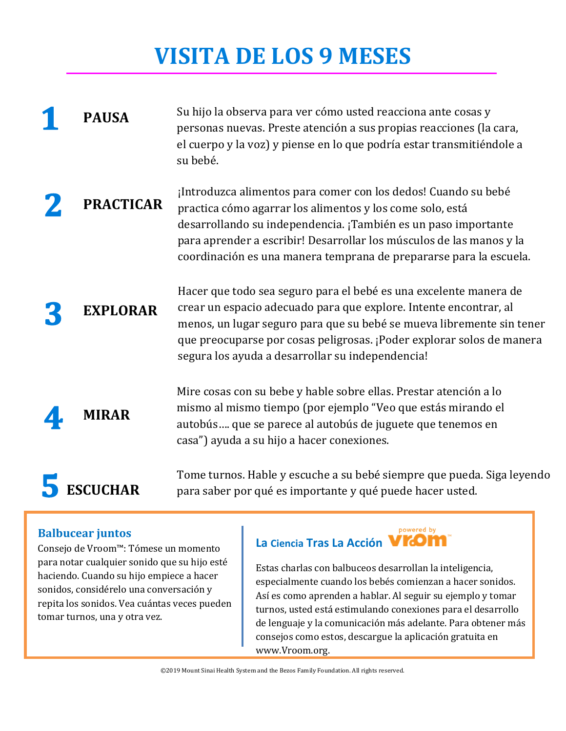# **VISITA DE LOS 9 MESES**

#### **PAUSA** Su hijo la observa para ver cómo usted reacciona ante cosas y personas nuevas. Preste atención a sus propias reacciones (la cara, el cuerpo y la voz) y piense en lo que podría estar transmitiéndole a su bebé.

**PRACTICAR** ¡Introduzca alimentos para comer con los dedos! Cuando su bebé practica cómo agarrar los alimentos y los come solo, está desarrollando su independencia. ¡También es un paso importante para aprender a escribir! Desarrollar los músculos de las manos y la coordinación es una manera temprana de prepararse para la escuela.

**EXPLORAR** Hacer que todo sea seguro para el bebé es una excelente manera de crear un espacio adecuado para que explore. Intente encontrar, al menos, un lugar seguro para que su bebé se mueva libremente sin tener que preocuparse por cosas peligrosas. ¡Poder explorar solos de manera segura los ayuda a desarrollar su independencia!

> Mire cosas con su bebe y hable sobre ellas. Prestar atención a lo mismo al mismo tiempo (por ejemplo "Veo que estás mirando el autobús…. que se parece al autobús de juguete que tenemos en casa") ayuda a su hijo a hacer conexiones.

Tome turnos. Hable y escuche a su bebé siempre que pueda. Siga leyendo para saber por qué es importante y qué puede hacer usted.

#### **Balbucear juntos**

ESCUCHAR

**MIRAR**

Consejo de Vroom™: Tómese un momento para notar cualquier sonido que su hijo esté haciendo. Cuando su hijo empiece a hacer sonidos, considérelo una conversación y repita los sonidos. Vea cuántas veces pueden tomar turnos, una y otra vez.

#### powered by **La Ciencia Tras La Acción**

Estas charlas con balbuceos desarrollan la inteligencia, especialmente cuando los bebés comienzan a hacer sonidos. Así es como aprenden a hablar. Al seguir su ejemplo y tomar turnos, usted está estimulando conexiones para el desarrollo de lenguaje y la comunicación más adelante. Para obtener más consejos como estos, descargue la aplicación gratuita en www.Vroom.org.

©2019 Mount Sinai Health System and the Bezos Family Foundation. All rights reserved.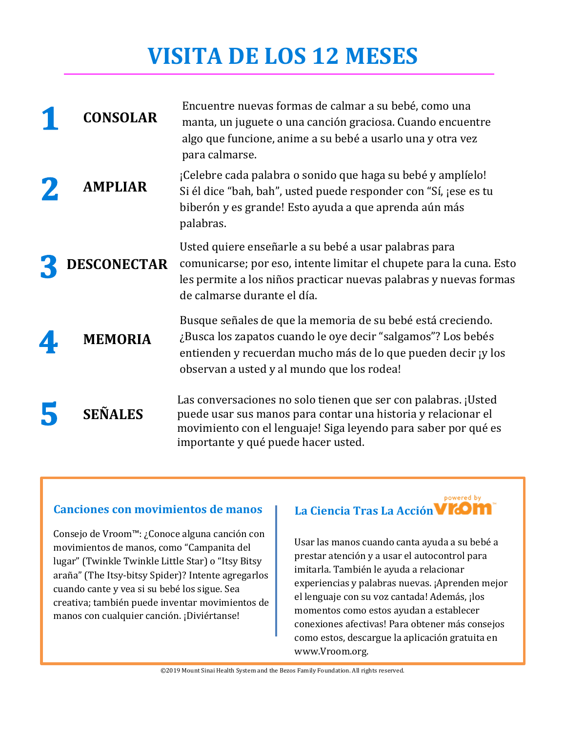### **VISITA DE LOS 12 MESES**

| <b>CONSOLAR</b>    | Encuentre nuevas formas de calmar a su bebé, como una<br>manta, un juguete o una canción graciosa. Cuando encuentre<br>algo que funcione, anime a su bebé a usarlo una y otra vez<br>para calmarse.                                       |
|--------------------|-------------------------------------------------------------------------------------------------------------------------------------------------------------------------------------------------------------------------------------------|
| <b>AMPLIAR</b>     | ¡Celebre cada palabra o sonido que haga su bebé y amplíelo!<br>Si él dice "bah, bah", usted puede responder con "Sí, jese es tu<br>biberón y es grande! Esto ayuda a que aprenda aún más<br>palabras.                                     |
| <b>DESCONECTAR</b> | Usted quiere enseñarle a su bebé a usar palabras para<br>comunicarse; por eso, intente limitar el chupete para la cuna. Esto<br>les permite a los niños practicar nuevas palabras y nuevas formas<br>de calmarse durante el día.          |
| <b>MEMORIA</b>     | Busque señales de que la memoria de su bebé está creciendo.<br>¿Busca los zapatos cuando le oye decir "salgamos"? Los bebés<br>entienden y recuerdan mucho más de lo que pueden decir y los<br>observan a usted y al mundo que los rodea! |
| <b>SEÑALES</b>     | Las conversaciones no solo tienen que ser con palabras. ¡Usted<br>puede usar sus manos para contar una historia y relacionar el<br>movimiento con el lenguaje! Siga leyendo para saber por qué es<br>importante y qué puede hacer usted.  |

#### **Canciones con movimientos de manos**

Consejo de Vroom™: ¿Conoce alguna canción con movimientos de manos, como "Campanita del lugar" (Twinkle Twinkle Little Star) o "Itsy Bitsy araña" (The Itsy-bitsy Spider)? Intente agregarlos cuando cante y vea si su bebé los sigue. Sea creativa; también puede inventar movimientos de manos con cualquier canción. ¡Diviértanse!

#### powered by **La Ciencia Tras La Acción**

Usar las manos cuando canta ayuda a su bebé a prestar atención y a usar el autocontrol para imitarla. También le ayuda a relacionar experiencias y palabras nuevas. ¡Aprenden mejor el lenguaje con su voz cantada! Además, ¡los momentos como estos ayudan a establecer conexiones afectivas! Para obtener más consejos como estos, descargue la aplicación gratuita en www.Vroom.org.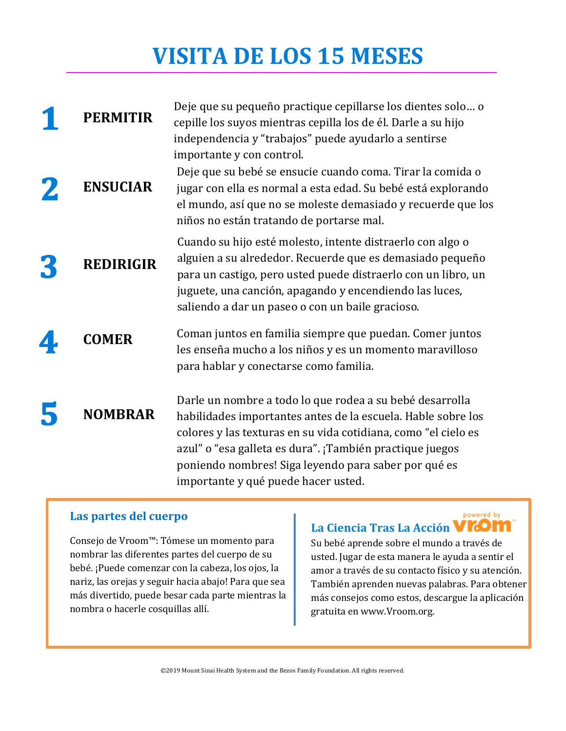### **VISITA DE LOS 15 MESES**

| <b>PERMITIR</b>  | Deje que su pequeño practique cepillarse los dientes solo o<br>cepille los suyos mientras cepilla los de él. Darle a su hijo<br>independencia y "trabajos" puede ayudarlo a sentirse                                                                                                                                                                  |
|------------------|-------------------------------------------------------------------------------------------------------------------------------------------------------------------------------------------------------------------------------------------------------------------------------------------------------------------------------------------------------|
| <b>ENSUCIAR</b>  | importante y con control.<br>Deje que su bebé se ensucie cuando coma. Tirar la comida o<br>jugar con ella es normal a esta edad. Su bebé está explorando<br>el mundo, así que no se moleste demasiado y recuerde que los<br>niños no están tratando de portarse mal.                                                                                  |
| <b>REDIRIGIR</b> | Cuando su hijo esté molesto, intente distraerlo con algo o<br>alguien a su alrededor. Recuerde que es demasiado pequeño<br>para un castigo, pero usted puede distraerlo con un libro, un<br>juguete, una canción, apagando y encendiendo las luces,<br>saliendo a dar un paseo o con un baile gracioso.                                               |
| <b>COMER</b>     | Coman juntos en familia siempre que puedan. Comer juntos<br>les enseña mucho a los niños y es un momento maravilloso<br>para hablar y conectarse como familia.                                                                                                                                                                                        |
| <b>NOMBRAR</b>   | Darle un nombre a todo lo que rodea a su bebé desarrolla<br>habilidades importantes antes de la escuela. Hable sobre los<br>colores y las texturas en su vida cotidiana, como "el cielo es<br>azul" o "esa galleta es dura". ¡También practique juegos<br>poniendo nombres! Siga leyendo para saber por qué es<br>importante y qué puede hacer usted. |

### **Las partes del cuerpo**

Consejo de Vroom™: Tómese un momento para nombrar las diferentes partes del cuerpo de su bebé. ¡Puede comenzar con la cabeza, los ojos, la nariz, las orejas y seguir hacia abajo! Para que sea más divertido, puede besar cada parte mientras la nombra o hacerle cosquillas allí.

### **La Ciencia Tras La Acción**

powered by

Su bebé aprende sobre el mundo a través de usted. Jugar de esta manera le ayuda a sentir el amor a través de su contacto físico y su atención. También aprenden nuevas palabras. Para obtener más consejos como estos, descargue la aplicación gratuita en www.Vroom.org.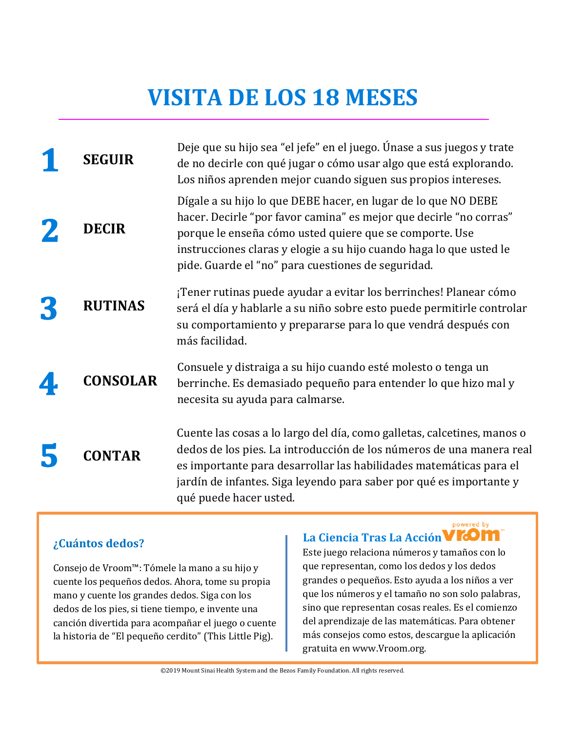### **VISITA DE LOS 18 MESES**

| <b>SEGUIR</b>   | Deje que su hijo sea "el jefe" en el juego. Únase a sus juegos y trate<br>de no decirle con qué jugar o cómo usar algo que está explorando.<br>Los niños aprenden mejor cuando siguen sus propios intereses.                                                                                                                 |
|-----------------|------------------------------------------------------------------------------------------------------------------------------------------------------------------------------------------------------------------------------------------------------------------------------------------------------------------------------|
| <b>DECIR</b>    | Dígale a su hijo lo que DEBE hacer, en lugar de lo que NO DEBE<br>hacer. Decirle "por favor camina" es mejor que decirle "no corras"<br>porque le enseña cómo usted quiere que se comporte. Use<br>instrucciones claras y elogie a su hijo cuando haga lo que usted le<br>pide. Guarde el "no" para cuestiones de seguridad. |
| <b>RUTINAS</b>  | ¡Tener rutinas puede ayudar a evitar los berrinches! Planear cómo<br>será el día y hablarle a su niño sobre esto puede permitirle controlar<br>su comportamiento y prepararse para lo que vendrá después con<br>más facilidad.                                                                                               |
| <b>CONSOLAR</b> | Consuele y distraiga a su hijo cuando esté molesto o tenga un<br>berrinche. Es demasiado pequeño para entender lo que hizo mal y<br>necesita su ayuda para calmarse.                                                                                                                                                         |
| <b>CONTAR</b>   | Cuente las cosas a lo largo del día, como galletas, calcetines, manos o<br>dedos de los pies. La introducción de los números de una manera real<br>es importante para desarrollar las habilidades matemáticas para el<br>jardín de infantes. Siga leyendo para saber por qué es importante y<br>qué puede hacer usted.       |

#### **¿Cuántos dedos?**

Consejo de Vroom™: Tómele la mano a su hijo y cuente los pequeños dedos. Ahora, tome su propia mano y cuente los grandes dedos. Siga con los dedos de los pies, si tiene tiempo, e invente una canción divertida para acompañar el juego o cuente la historia de "El pequeño cerdito" (This Little Pig).

### **La Ciencia Tras La Acción**

powered by

Este juego relaciona números y tamaños con lo que representan, como los dedos y los dedos grandes o pequeños. Esto ayuda a los niños a ver que los números y el tamaño no son solo palabras, sino que representan cosas reales. Es el comienzo del aprendizaje de las matemáticas. Para obtener más consejos como estos, descargue la aplicación gratuita en www.Vroom.org.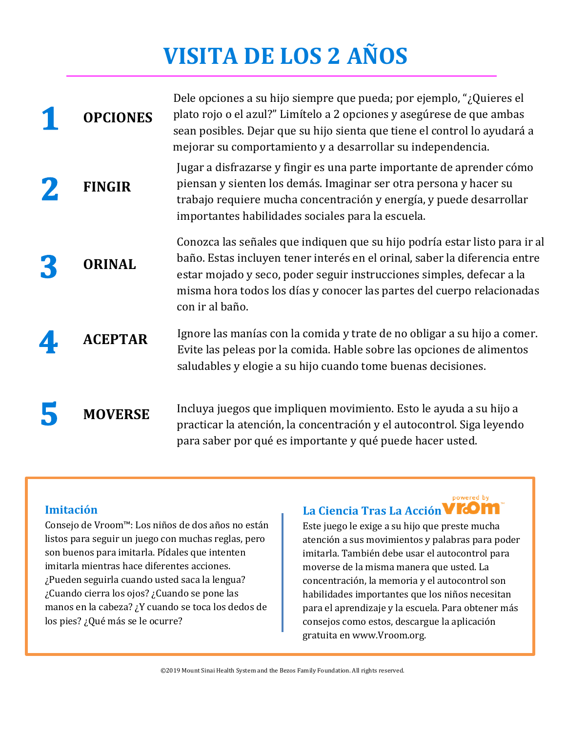# **VISITA DE LOS 2 AÑOS**

| <b>OPCIONES</b> | Dele opciones a su hijo siempre que pueda; por ejemplo, "¿Quieres el<br>plato rojo o el azul?" Limítelo a 2 opciones y asegúrese de que ambas<br>sean posibles. Dejar que su hijo sienta que tiene el control lo ayudará a<br>mejorar su comportamiento y a desarrollar su independencia.                                      |
|-----------------|--------------------------------------------------------------------------------------------------------------------------------------------------------------------------------------------------------------------------------------------------------------------------------------------------------------------------------|
| <b>FINGIR</b>   | Jugar a disfrazarse y fingir es una parte importante de aprender cómo<br>piensan y sienten los demás. Imaginar ser otra persona y hacer su<br>trabajo requiere mucha concentración y energía, y puede desarrollar<br>importantes habilidades sociales para la escuela.                                                         |
| <b>ORINAL</b>   | Conozca las señales que indiquen que su hijo podría estar listo para ir al<br>baño. Estas incluyen tener interés en el orinal, saber la diferencia entre<br>estar mojado y seco, poder seguir instrucciones simples, defecar a la<br>misma hora todos los días y conocer las partes del cuerpo relacionadas<br>con ir al baño. |
| <b>ACEPTAR</b>  | Ignore las manías con la comida y trate de no obligar a su hijo a comer.<br>Evite las peleas por la comida. Hable sobre las opciones de alimentos<br>saludables y elogie a su hijo cuando tome buenas decisiones.                                                                                                              |
| <b>MOVERSE</b>  | Incluya juegos que impliquen movimiento. Esto le ayuda a su hijo a<br>practicar la atención, la concentración y el autocontrol. Siga leyendo<br>para saber por qué es importante y qué puede hacer usted.                                                                                                                      |

#### **Imitación**

Consejo de Vroom™: Los niños de dos años no están listos para seguir un juego con muchas reglas, pero son buenos para imitarla. Pídales que intenten imitarla mientras hace diferentes acciones. ¿Pueden seguirla cuando usted saca la lengua? ¿Cuando cierra los ojos? ¿Cuando se pone las manos en la cabeza? ¿Y cuando se toca los dedos de los pies? ¿Qué más se le ocurre?

### **La Ciencia Tras La Acción**

powered by

Este juego le exige a su hijo que preste mucha atención a sus movimientos y palabras para poder imitarla. También debe usar el autocontrol para moverse de la misma manera que usted. La concentración, la memoria y el autocontrol son habilidades importantes que los niños necesitan para el aprendizaje y la escuela. Para obtener más consejos como estos, descargue la aplicación gratuita en www.Vroom.org.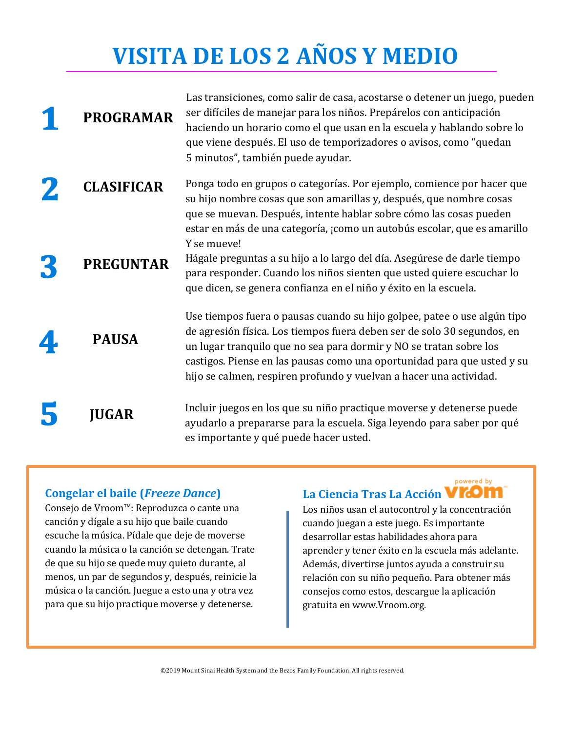# **VISITA DE LOS 2 AÑOS Y MEDIO**

| <b>PROGRAMAR</b>  | Las transiciones, como salir de casa, acostarse o detener un juego, pueden<br>ser difíciles de manejar para los niños. Prepárelos con anticipación<br>haciendo un horario como el que usan en la escuela y hablando sobre lo<br>que viene después. El uso de temporizadores o avisos, como "quedan<br>5 minutos", también puede ayudar.                                    |
|-------------------|----------------------------------------------------------------------------------------------------------------------------------------------------------------------------------------------------------------------------------------------------------------------------------------------------------------------------------------------------------------------------|
| <b>CLASIFICAR</b> | Ponga todo en grupos o categorías. Por ejemplo, comience por hacer que<br>su hijo nombre cosas que son amarillas y, después, que nombre cosas<br>que se muevan. Después, intente hablar sobre cómo las cosas pueden<br>estar en más de una categoría, ¡como un autobús escolar, que es amarillo<br>Y se mueve!                                                             |
| <b>PREGUNTAR</b>  | Hágale preguntas a su hijo a lo largo del día. Asegúrese de darle tiempo<br>para responder. Cuando los niños sienten que usted quiere escuchar lo<br>que dicen, se genera confianza en el niño y éxito en la escuela.                                                                                                                                                      |
| <b>PAUSA</b>      | Use tiempos fuera o pausas cuando su hijo golpee, patee o use algún tipo<br>de agresión física. Los tiempos fuera deben ser de solo 30 segundos, en<br>un lugar tranquilo que no sea para dormir y NO se tratan sobre los<br>castigos. Piense en las pausas como una oportunidad para que usted y su<br>hijo se calmen, respiren profundo y vuelvan a hacer una actividad. |
| <b>JUGAR</b>      | Incluir juegos en los que su niño practique moverse y detenerse puede<br>ayudarlo a prepararse para la escuela. Siga leyendo para saber por qué<br>es importante y qué puede hacer usted.                                                                                                                                                                                  |

#### **Congelar el baile (***Freeze Dance***)**

Consejo de Vroom™: Reproduzca o cante una canción y dígale a su hijo que baile cuando escuche la música. Pídale que deje de moverse cuando la música o la canción se detengan. Trate de que su hijo se quede muy quieto durante, al menos, un par de segundos y, después, reinicie la música o la canción. Juegue a esto una y otra vez para que su hijo practique moverse y detenerse.

#### powered by **La Ciencia Tras La Acción**

Los niños usan el autocontrol y la concentración cuando juegan a este juego. Es importante desarrollar estas habilidades ahora para aprender y tener éxito en la escuela más adelante. Además, divertirse juntos ayuda a construir su relación con su niño pequeño. Para obtener más consejos como estos, descargue la aplicación gratuita en www.Vroom.org.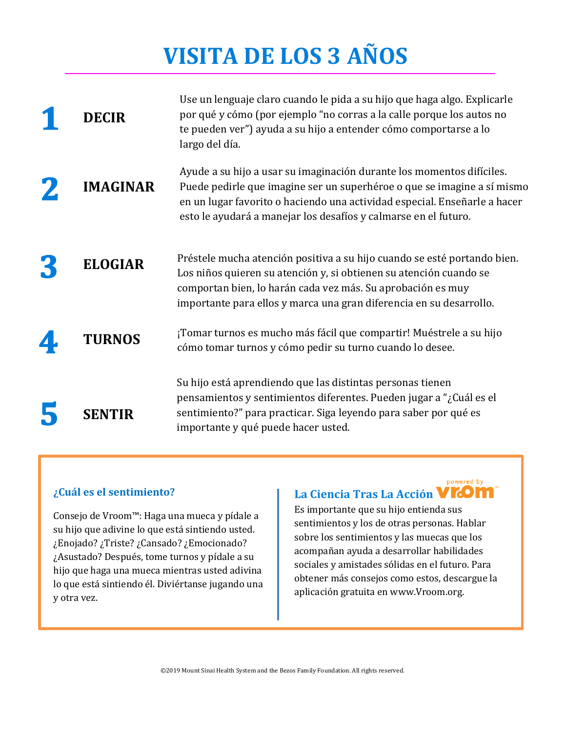# **VISITA DE LOS 3 AÑOS**

| <b>DECIR</b>    | Use un lenguaje claro cuando le pida a su hijo que haga algo. Explicarle<br>por qué y cómo (por ejemplo "no corras a la calle porque los autos no<br>te pueden ver") ayuda a su hijo a entender cómo comportarse a lo<br>largo del día.                                                          |
|-----------------|--------------------------------------------------------------------------------------------------------------------------------------------------------------------------------------------------------------------------------------------------------------------------------------------------|
| <b>IMAGINAR</b> | Ayude a su hijo a usar su imaginación durante los momentos difíciles.<br>Puede pedirle que imagine ser un superhéroe o que se imagine a sí mismo<br>en un lugar favorito o haciendo una actividad especial. Enseñarle a hacer<br>esto le ayudará a manejar los desafíos y calmarse en el futuro. |
| <b>ELOGIAR</b>  | Préstele mucha atención positiva a su hijo cuando se esté portando bien.<br>Los niños quieren su atención y, si obtienen su atención cuando se<br>comportan bien, lo harán cada vez más. Su aprobación es muy<br>importante para ellos y marca una gran diferencia en su desarrollo.             |
| <b>TURNOS</b>   | ¡Tomar turnos es mucho más fácil que compartir! Muéstrele a su hijo<br>cómo tomar turnos y cómo pedir su turno cuando lo desee.                                                                                                                                                                  |
| <b>SENTIR</b>   | Su hijo está aprendiendo que las distintas personas tienen<br>pensamientos y sentimientos diferentes. Pueden jugar a "¿Cuál es el<br>sentimiento?" para practicar. Siga leyendo para saber por qué es<br>importante y qué puede hacer usted.                                                     |

#### **¿Cuál es el sentimiento?**

Consejo de Vroom™: Haga una mueca y pídale a su hijo que adivine lo que está sintiendo usted. ¿Enojado? ¿Triste? ¿Cansado? ¿Emocionado? ¿Asustado? Después, tome turnos y pídale a su hijo que haga una mueca mientras usted adivina lo que está sintiendo él. Diviértanse jugando una y otra vez.

#### **La Ciencia Tras La Acción**

Es importante que su hijo entienda sus sentimientos y los de otras personas. Hablar sobre los sentimientos y las muecas que los acompañan ayuda a desarrollar habilidades sociales y amistades sólidas en el futuro. Para obtener más consejos como estos, descargue la aplicación gratuita en www.Vroom.org.

powered by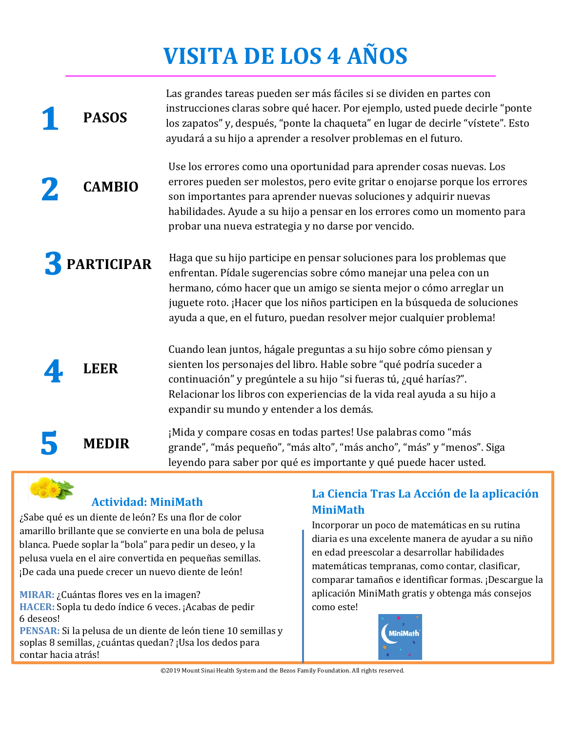# **VISITA DE LOS 4 AÑOS**

Las grandes tareas pueden ser más fáciles si se dividen en partes con

| <b>PASOS</b>      | instrucciones claras sobre qué hacer. Por ejemplo, usted puede decirle "ponte<br>los zapatos" y, después, "ponte la chaqueta" en lugar de decirle "vístete". Esto<br>ayudará a su hijo a aprender a resolver problemas en el futuro.                                                                                                                                     |
|-------------------|--------------------------------------------------------------------------------------------------------------------------------------------------------------------------------------------------------------------------------------------------------------------------------------------------------------------------------------------------------------------------|
| <b>CAMBIO</b>     | Use los errores como una oportunidad para aprender cosas nuevas. Los<br>errores pueden ser molestos, pero evite gritar o enojarse porque los errores<br>son importantes para aprender nuevas soluciones y adquirir nuevas<br>habilidades. Ayude a su hijo a pensar en los errores como un momento para<br>probar una nueva estrategia y no darse por vencido.            |
| <b>PARTICIPAR</b> | Haga que su hijo participe en pensar soluciones para los problemas que<br>enfrentan. Pídale sugerencias sobre cómo manejar una pelea con un<br>hermano, cómo hacer que un amigo se sienta mejor o cómo arreglar un<br>juguete roto. ¡Hacer que los niños participen en la búsqueda de soluciones<br>ayuda a que, en el futuro, puedan resolver mejor cualquier problema! |
| LEER              | Cuando lean juntos, hágale preguntas a su hijo sobre cómo piensan y<br>sienten los personajes del libro. Hable sobre "qué podría suceder a<br>continuación" y pregúntele a su hijo "si fueras tú, ¿qué harías?".<br>Relacionar los libros con experiencias de la vida real ayuda a su hijo a                                                                             |

expandir su mundo y entender a los demás.

¡Mida y compare cosas en todas partes! Use palabras como "más grande", "más pequeño", "más alto", "más ancho", "más" y "menos". Siga leyendo para saber por qué es importante y qué puede hacer usted.

### **Actividad: MiniMath**

**MEDIR**

contar hacia atrás!

¿Sabe qué es un diente de león? Es una flor de color amarillo brillante que se convierte en una bola de pelusa blanca. Puede soplar la "bola" para pedir un deseo, y la pelusa vuela en el aire convertida en pequeñas semillas. ¡De cada una puede crecer un nuevo diente de león!

**MIRAR:** ¿Cuántas flores ves en la imagen? **HACER:** Sopla tu dedo índice 6 veces. ¡Acabas de pedir 6 deseos! **PENSAR:** Si la pelusa de un diente de león tiene 10 semillas y soplas 8 semillas, ¿cuántas quedan? ¡Usa los dedos para

#### **La Ciencia Tras La Acción de la aplicación MiniMath**

Incorporar un poco de matemáticas en su rutina diaria es una excelente manera de ayudar a su niño en edad preescolar a desarrollar habilidades matemáticas tempranas, como contar, clasificar, comparar tamaños e identificar formas. ¡Descargue la aplicación MiniMath gratis y obtenga más consejos como este!



©2019 Mount Sinai Health System and the Bezos Family Foundation. All rights reserved.